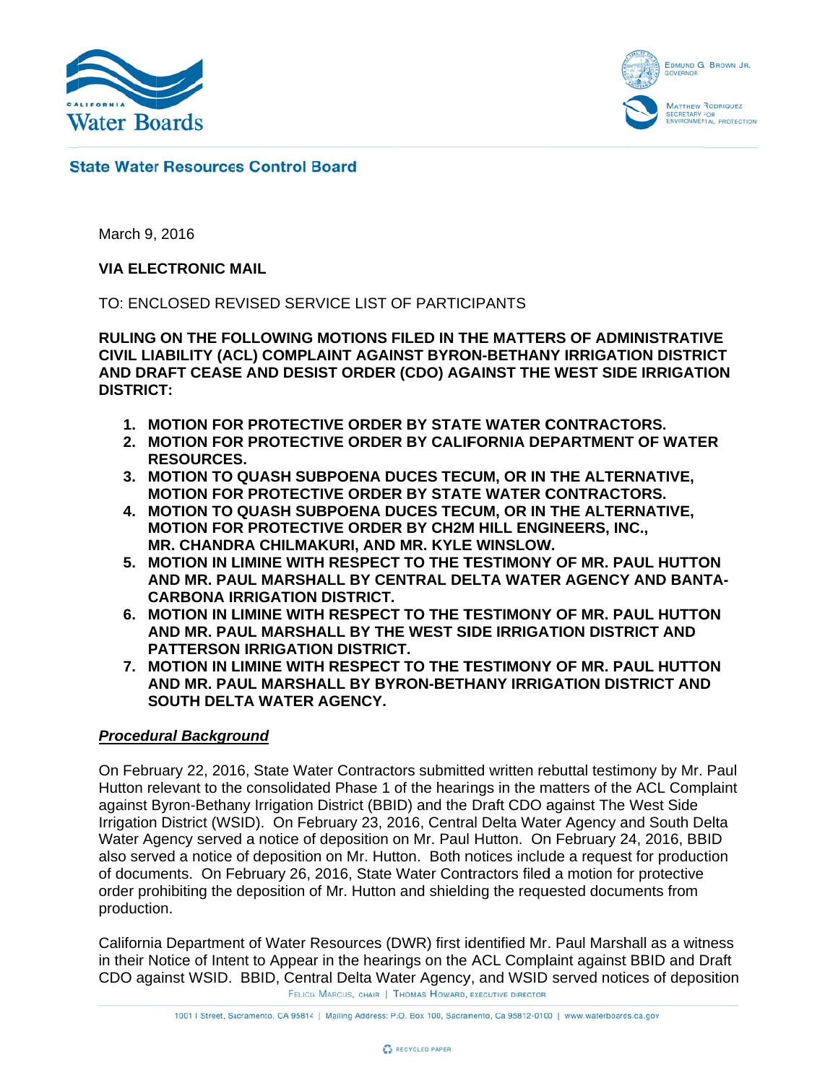



# **State Water Resources Control Board**

March 9, 2016

## **VIA ELE CTRONIC M MAIL**

TO: ENCLOSED REVISED SERVICE LIST OF PARTICIPANTS

<code>RULING</code> ON THE FOLLOWING MOTIONS FILED IN THE MATTERS OF ADMINISTRATIVE CIVIL LIABILITY (ACL) COMPLAINT AGAINST BYRON-BETHANY IRRIGATION DISTRICT AND DRAFT CEASE AND DESIST ORDER (CDO) AGAINST THE WEST SIDE IRRIGATION **DISTRIC CT:** 

- 1. MOTION FOR PROTECTIVE ORDER BY STATE WATER CONTRACTORS.
- **2. MOTION FOR PROTECTIVE ORDER BY CALIFORNIA DEPARTMENT OF WATER R RESOURCES S.**
- **3. M MOTION TO QUASH SU UBPOENA D DUCES TEC CUM, OR IN THE ALTER RNATIVE, MOTION FOR PROTECTIVE ORDER BY STATE WATER CONTRACTORS.**
- **4. M MOTION TO QUASH SU UBPOENA D DUCES TEC CUM, OR IN THE ALTER RNATIVE, M MOTION FOR R PROTECT TIVE ORDE R BY CH2M M HILL ENG GINEERS, IN NC.,**  MR. CHANDRA CHILMAKURI, AND MR. KYLE WINSLOW.
- **5. MOTION IN LIMINE WITH RESPECT TO THE TESTIMONY OF MR. PAUL HUTTON** AND MR. PAUL MARSHALL BY CENTRAL DELTA WATER AGENCY AND BANTA-**C CARBONA IR RRIGATION N DISTRICT .**
- **6. MOTION IN LIMINE WITH RESPECT TO THE TESTIMONY OF MR. PAUL HUTTON** AND MR. PAUL MARSHALL BY THE WEST SIDE IRRIGATION DISTRICT AND **PATTERSON IRRIGATION DISTRICT.**
- **7. MOTION IN LIMINE WITH RESPECT TO THE TESTIMONY OF MR. PAUL HUTTON** AND MR. PAUL MARSHALL BY BYRON-BETHANY IRRIGATION DISTRICT AND **S SOUTH DEL TA WATER R AGENCY.**

#### **Procedural Background**

On February 22, 2016, State Water Contractors submitted written rebuttal testimony by Mr. Paul Hutton relevant to the consolidated Phase 1 of the hearings in the matters of the ACL Complaint against Byron-Bethany Irrigation District (BBID) and the Draft CDO against The West Side Irrigation District (WSID). On February 23, 2016, Central Delta Water Agency and South Delta Water Agency served a notice of deposition on Mr. Paul Hutton. On February 24, 2016, BBID also served a notice of deposition on Mr. Hutton. Both notices include a request for production of documents. On February 26, 2016, State Water Contractors filed a motion for protective order prohibiting the deposition of Mr. Hutton and shielding the requested documents from production.

California Department of Water Resources (DWR) first identified Mr. Paul Marshall as a witness in their Notice of Intent to Appear in the hearings on the ACL Complaint against BBID and Draft CDO against WSID. BBID, Central Delta Water Agency, and WSID served notices of deposition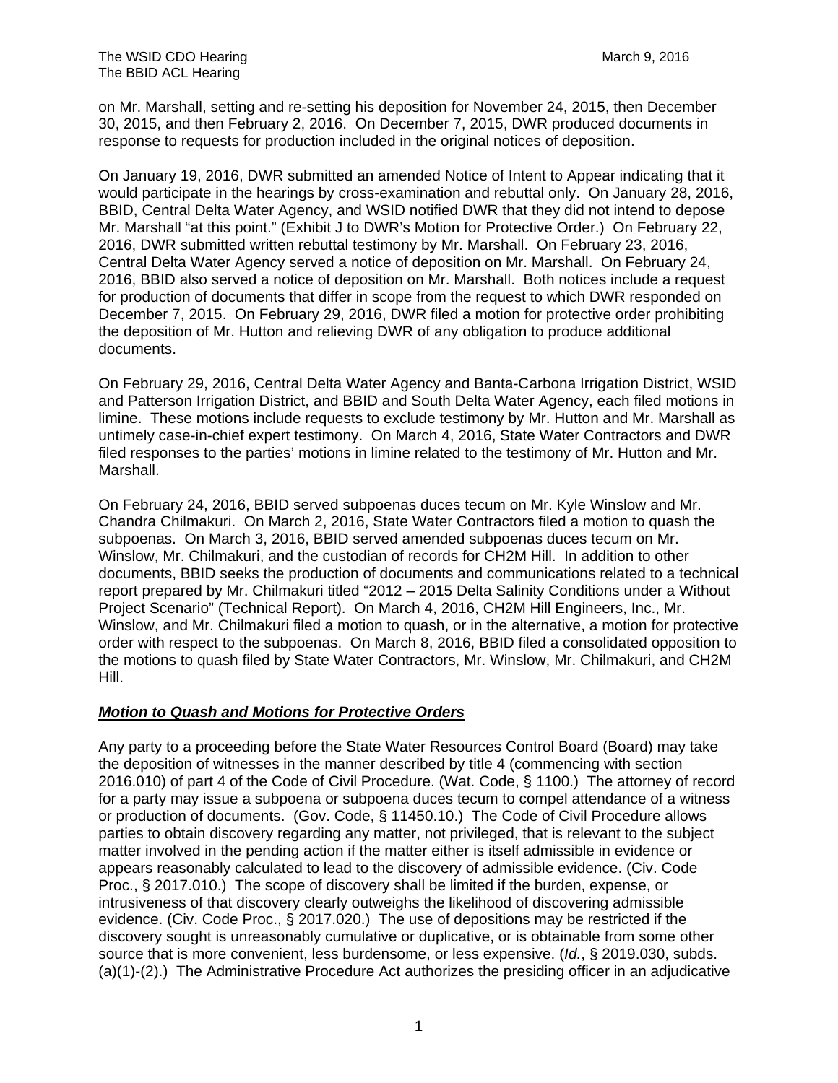on Mr. Marshall, setting and re-setting his deposition for November 24, 2015, then December 30, 2015, and then February 2, 2016. On December 7, 2015, DWR produced documents in response to requests for production included in the original notices of deposition.

On January 19, 2016, DWR submitted an amended Notice of Intent to Appear indicating that it would participate in the hearings by cross-examination and rebuttal only. On January 28, 2016, BBID, Central Delta Water Agency, and WSID notified DWR that they did not intend to depose Mr. Marshall "at this point." (Exhibit J to DWR's Motion for Protective Order.) On February 22, 2016, DWR submitted written rebuttal testimony by Mr. Marshall. On February 23, 2016, Central Delta Water Agency served a notice of deposition on Mr. Marshall. On February 24, 2016, BBID also served a notice of deposition on Mr. Marshall. Both notices include a request for production of documents that differ in scope from the request to which DWR responded on December 7, 2015. On February 29, 2016, DWR filed a motion for protective order prohibiting the deposition of Mr. Hutton and relieving DWR of any obligation to produce additional documents.

On February 29, 2016, Central Delta Water Agency and Banta-Carbona Irrigation District, WSID and Patterson Irrigation District, and BBID and South Delta Water Agency, each filed motions in limine. These motions include requests to exclude testimony by Mr. Hutton and Mr. Marshall as untimely case-in-chief expert testimony. On March 4, 2016, State Water Contractors and DWR filed responses to the parties' motions in limine related to the testimony of Mr. Hutton and Mr. Marshall.

On February 24, 2016, BBID served subpoenas duces tecum on Mr. Kyle Winslow and Mr. Chandra Chilmakuri. On March 2, 2016, State Water Contractors filed a motion to quash the subpoenas. On March 3, 2016, BBID served amended subpoenas duces tecum on Mr. Winslow, Mr. Chilmakuri, and the custodian of records for CH2M Hill. In addition to other documents, BBID seeks the production of documents and communications related to a technical report prepared by Mr. Chilmakuri titled "2012 – 2015 Delta Salinity Conditions under a Without Project Scenario" (Technical Report). On March 4, 2016, CH2M Hill Engineers, Inc., Mr. Winslow, and Mr. Chilmakuri filed a motion to quash, or in the alternative, a motion for protective order with respect to the subpoenas. On March 8, 2016, BBID filed a consolidated opposition to the motions to quash filed by State Water Contractors, Mr. Winslow, Mr. Chilmakuri, and CH2M Hill.

#### *Motion to Quash and Motions for Protective Orders*

Any party to a proceeding before the State Water Resources Control Board (Board) may take the deposition of witnesses in the manner described by title 4 (commencing with section 2016.010) of part 4 of the Code of Civil Procedure. (Wat. Code, § 1100.) The attorney of record for a party may issue a subpoena or subpoena duces tecum to compel attendance of a witness or production of documents. (Gov. Code, § 11450.10.) The Code of Civil Procedure allows parties to obtain discovery regarding any matter, not privileged, that is relevant to the subject matter involved in the pending action if the matter either is itself admissible in evidence or appears reasonably calculated to lead to the discovery of admissible evidence. (Civ. Code Proc., § 2017.010.) The scope of discovery shall be limited if the burden, expense, or intrusiveness of that discovery clearly outweighs the likelihood of discovering admissible evidence. (Civ. Code Proc., § 2017.020.) The use of depositions may be restricted if the discovery sought is unreasonably cumulative or duplicative, or is obtainable from some other source that is more convenient, less burdensome, or less expensive. (*Id.*, § 2019.030, subds. (a)(1)-(2).) The Administrative Procedure Act authorizes the presiding officer in an adjudicative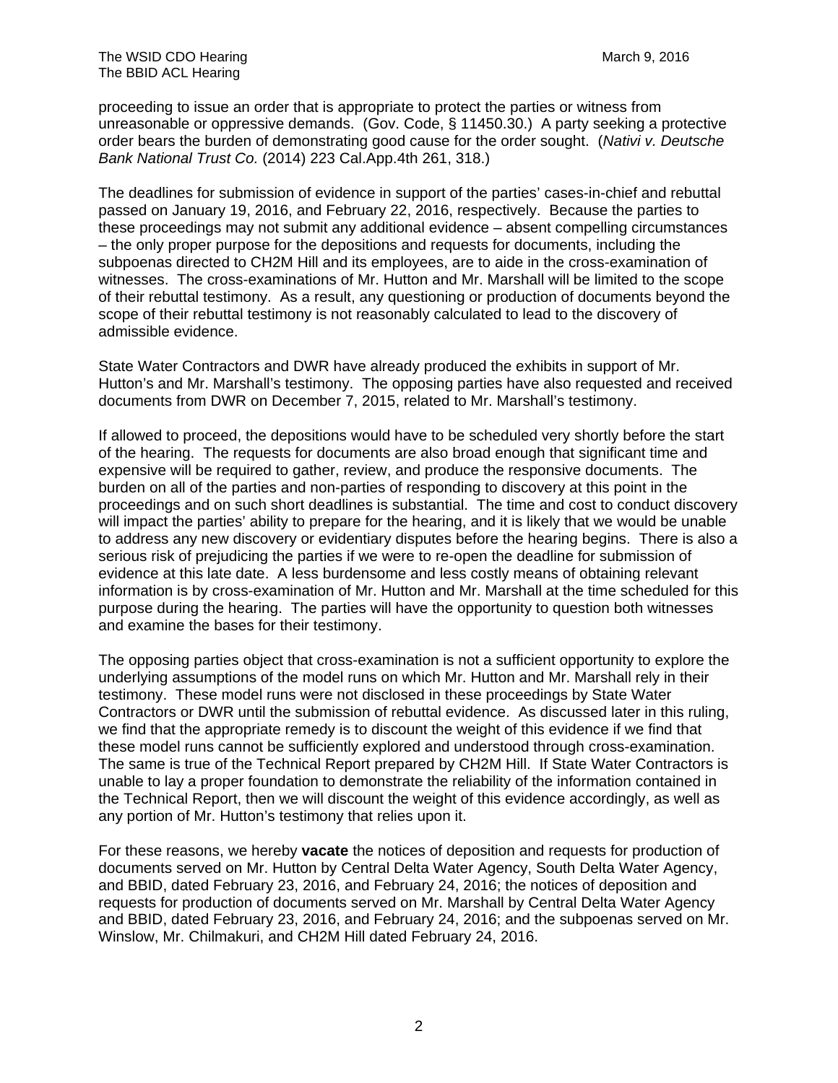proceeding to issue an order that is appropriate to protect the parties or witness from unreasonable or oppressive demands. (Gov. Code, § 11450.30.) A party seeking a protective order bears the burden of demonstrating good cause for the order sought. (*Nativi v. Deutsche Bank National Trust Co.* (2014) 223 Cal.App.4th 261, 318.)

The deadlines for submission of evidence in support of the parties' cases-in-chief and rebuttal passed on January 19, 2016, and February 22, 2016, respectively. Because the parties to these proceedings may not submit any additional evidence – absent compelling circumstances – the only proper purpose for the depositions and requests for documents, including the subpoenas directed to CH2M Hill and its employees, are to aide in the cross-examination of witnesses. The cross-examinations of Mr. Hutton and Mr. Marshall will be limited to the scope of their rebuttal testimony. As a result, any questioning or production of documents beyond the scope of their rebuttal testimony is not reasonably calculated to lead to the discovery of admissible evidence.

State Water Contractors and DWR have already produced the exhibits in support of Mr. Hutton's and Mr. Marshall's testimony. The opposing parties have also requested and received documents from DWR on December 7, 2015, related to Mr. Marshall's testimony.

If allowed to proceed, the depositions would have to be scheduled very shortly before the start of the hearing. The requests for documents are also broad enough that significant time and expensive will be required to gather, review, and produce the responsive documents. The burden on all of the parties and non-parties of responding to discovery at this point in the proceedings and on such short deadlines is substantial. The time and cost to conduct discovery will impact the parties' ability to prepare for the hearing, and it is likely that we would be unable to address any new discovery or evidentiary disputes before the hearing begins. There is also a serious risk of prejudicing the parties if we were to re-open the deadline for submission of evidence at this late date. A less burdensome and less costly means of obtaining relevant information is by cross-examination of Mr. Hutton and Mr. Marshall at the time scheduled for this purpose during the hearing. The parties will have the opportunity to question both witnesses and examine the bases for their testimony.

The opposing parties object that cross-examination is not a sufficient opportunity to explore the underlying assumptions of the model runs on which Mr. Hutton and Mr. Marshall rely in their testimony. These model runs were not disclosed in these proceedings by State Water Contractors or DWR until the submission of rebuttal evidence. As discussed later in this ruling, we find that the appropriate remedy is to discount the weight of this evidence if we find that these model runs cannot be sufficiently explored and understood through cross-examination. The same is true of the Technical Report prepared by CH2M Hill. If State Water Contractors is unable to lay a proper foundation to demonstrate the reliability of the information contained in the Technical Report, then we will discount the weight of this evidence accordingly, as well as any portion of Mr. Hutton's testimony that relies upon it.

For these reasons, we hereby **vacate** the notices of deposition and requests for production of documents served on Mr. Hutton by Central Delta Water Agency, South Delta Water Agency, and BBID, dated February 23, 2016, and February 24, 2016; the notices of deposition and requests for production of documents served on Mr. Marshall by Central Delta Water Agency and BBID, dated February 23, 2016, and February 24, 2016; and the subpoenas served on Mr. Winslow, Mr. Chilmakuri, and CH2M Hill dated February 24, 2016.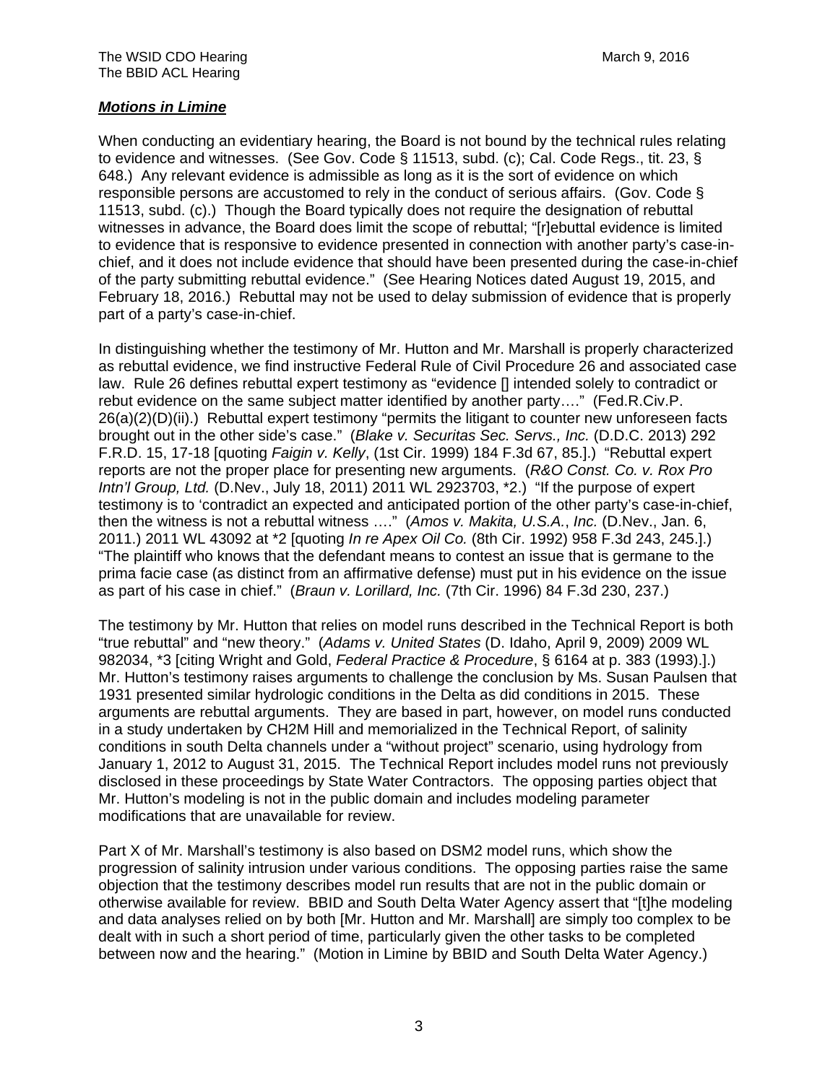# *Motions in Limine*

When conducting an evidentiary hearing, the Board is not bound by the technical rules relating to evidence and witnesses. (See Gov. Code § 11513, subd. (c); Cal. Code Regs., tit. 23, § 648.) Any relevant evidence is admissible as long as it is the sort of evidence on which responsible persons are accustomed to rely in the conduct of serious affairs. (Gov. Code § 11513, subd. (c).) Though the Board typically does not require the designation of rebuttal witnesses in advance, the Board does limit the scope of rebuttal; "[r]ebuttal evidence is limited to evidence that is responsive to evidence presented in connection with another party's case-inchief, and it does not include evidence that should have been presented during the case-in-chief of the party submitting rebuttal evidence." (See Hearing Notices dated August 19, 2015, and February 18, 2016.) Rebuttal may not be used to delay submission of evidence that is properly part of a party's case-in-chief.

In distinguishing whether the testimony of Mr. Hutton and Mr. Marshall is properly characterized as rebuttal evidence, we find instructive Federal Rule of Civil Procedure 26 and associated case law. Rule 26 defines rebuttal expert testimony as "evidence [] intended solely to contradict or rebut evidence on the same subject matter identified by another party…." (Fed.R.Civ.P. 26(a)(2)(D)(ii).) Rebuttal expert testimony "permits the litigant to counter new unforeseen facts brought out in the other side's case." (*Blake v. Securitas Sec. Servs., Inc.* (D.D.C. 2013) 292 F.R.D. 15, 17-18 [quoting *Faigin v. Kelly*, (1st Cir. 1999) 184 F.3d 67, 85.].) "Rebuttal expert reports are not the proper place for presenting new arguments. (*R&O Const. Co. v. Rox Pro Intn'l Group, Ltd.* (D.Nev., July 18, 2011) 2011 WL 2923703, \*2.) "If the purpose of expert testimony is to 'contradict an expected and anticipated portion of the other party's case-in-chief, then the witness is not a rebuttal witness …." (*Amos v. Makita, U.S.A.*, *Inc.* (D.Nev., Jan. 6, 2011.) 2011 WL 43092 at \*2 [quoting *In re Apex Oil Co.* (8th Cir. 1992) 958 F.3d 243, 245.].) "The plaintiff who knows that the defendant means to contest an issue that is germane to the prima facie case (as distinct from an affirmative defense) must put in his evidence on the issue as part of his case in chief." (*Braun v. Lorillard, Inc.* (7th Cir. 1996) 84 F.3d 230, 237.)

The testimony by Mr. Hutton that relies on model runs described in the Technical Report is both "true rebuttal" and "new theory." (*Adams v. United States* (D. Idaho, April 9, 2009) 2009 WL 982034, \*3 [citing Wright and Gold, *Federal Practice & Procedure*, § 6164 at p. 383 (1993).].) Mr. Hutton's testimony raises arguments to challenge the conclusion by Ms. Susan Paulsen that 1931 presented similar hydrologic conditions in the Delta as did conditions in 2015. These arguments are rebuttal arguments. They are based in part, however, on model runs conducted in a study undertaken by CH2M Hill and memorialized in the Technical Report, of salinity conditions in south Delta channels under a "without project" scenario, using hydrology from January 1, 2012 to August 31, 2015. The Technical Report includes model runs not previously disclosed in these proceedings by State Water Contractors. The opposing parties object that Mr. Hutton's modeling is not in the public domain and includes modeling parameter modifications that are unavailable for review.

Part X of Mr. Marshall's testimony is also based on DSM2 model runs, which show the progression of salinity intrusion under various conditions. The opposing parties raise the same objection that the testimony describes model run results that are not in the public domain or otherwise available for review. BBID and South Delta Water Agency assert that "[t]he modeling and data analyses relied on by both [Mr. Hutton and Mr. Marshall] are simply too complex to be dealt with in such a short period of time, particularly given the other tasks to be completed between now and the hearing." (Motion in Limine by BBID and South Delta Water Agency.)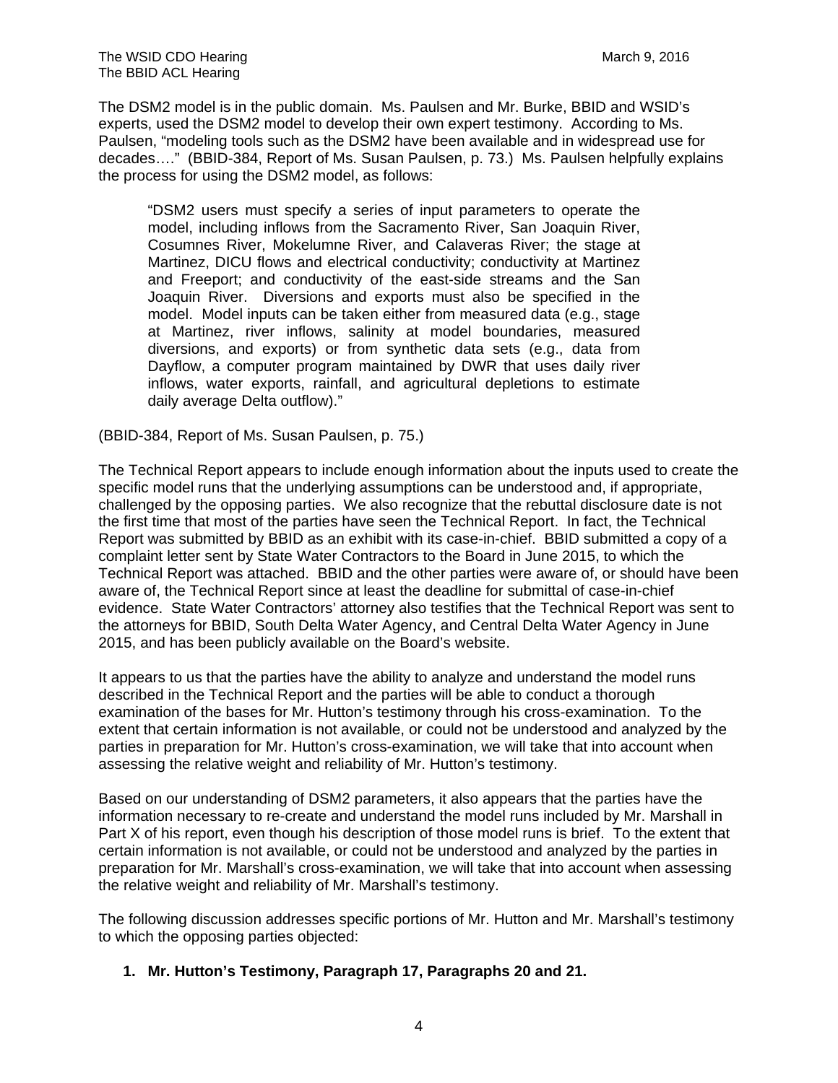The DSM2 model is in the public domain. Ms. Paulsen and Mr. Burke, BBID and WSID's experts, used the DSM2 model to develop their own expert testimony. According to Ms. Paulsen, "modeling tools such as the DSM2 have been available and in widespread use for decades…." (BBID-384, Report of Ms. Susan Paulsen, p. 73.) Ms. Paulsen helpfully explains the process for using the DSM2 model, as follows:

"DSM2 users must specify a series of input parameters to operate the model, including inflows from the Sacramento River, San Joaquin River, Cosumnes River, Mokelumne River, and Calaveras River; the stage at Martinez, DICU flows and electrical conductivity; conductivity at Martinez and Freeport; and conductivity of the east-side streams and the San Joaquin River. Diversions and exports must also be specified in the model. Model inputs can be taken either from measured data (e.g., stage at Martinez, river inflows, salinity at model boundaries, measured diversions, and exports) or from synthetic data sets (e.g., data from Dayflow, a computer program maintained by DWR that uses daily river inflows, water exports, rainfall, and agricultural depletions to estimate daily average Delta outflow)."

(BBID-384, Report of Ms. Susan Paulsen, p. 75.)

The Technical Report appears to include enough information about the inputs used to create the specific model runs that the underlying assumptions can be understood and, if appropriate, challenged by the opposing parties. We also recognize that the rebuttal disclosure date is not the first time that most of the parties have seen the Technical Report. In fact, the Technical Report was submitted by BBID as an exhibit with its case-in-chief. BBID submitted a copy of a complaint letter sent by State Water Contractors to the Board in June 2015, to which the Technical Report was attached. BBID and the other parties were aware of, or should have been aware of, the Technical Report since at least the deadline for submittal of case-in-chief evidence. State Water Contractors' attorney also testifies that the Technical Report was sent to the attorneys for BBID, South Delta Water Agency, and Central Delta Water Agency in June 2015, and has been publicly available on the Board's website.

It appears to us that the parties have the ability to analyze and understand the model runs described in the Technical Report and the parties will be able to conduct a thorough examination of the bases for Mr. Hutton's testimony through his cross-examination. To the extent that certain information is not available, or could not be understood and analyzed by the parties in preparation for Mr. Hutton's cross-examination, we will take that into account when assessing the relative weight and reliability of Mr. Hutton's testimony.

Based on our understanding of DSM2 parameters, it also appears that the parties have the information necessary to re-create and understand the model runs included by Mr. Marshall in Part X of his report, even though his description of those model runs is brief. To the extent that certain information is not available, or could not be understood and analyzed by the parties in preparation for Mr. Marshall's cross-examination, we will take that into account when assessing the relative weight and reliability of Mr. Marshall's testimony.

The following discussion addresses specific portions of Mr. Hutton and Mr. Marshall's testimony to which the opposing parties objected:

**1. Mr. Hutton's Testimony, Paragraph 17, Paragraphs 20 and 21.**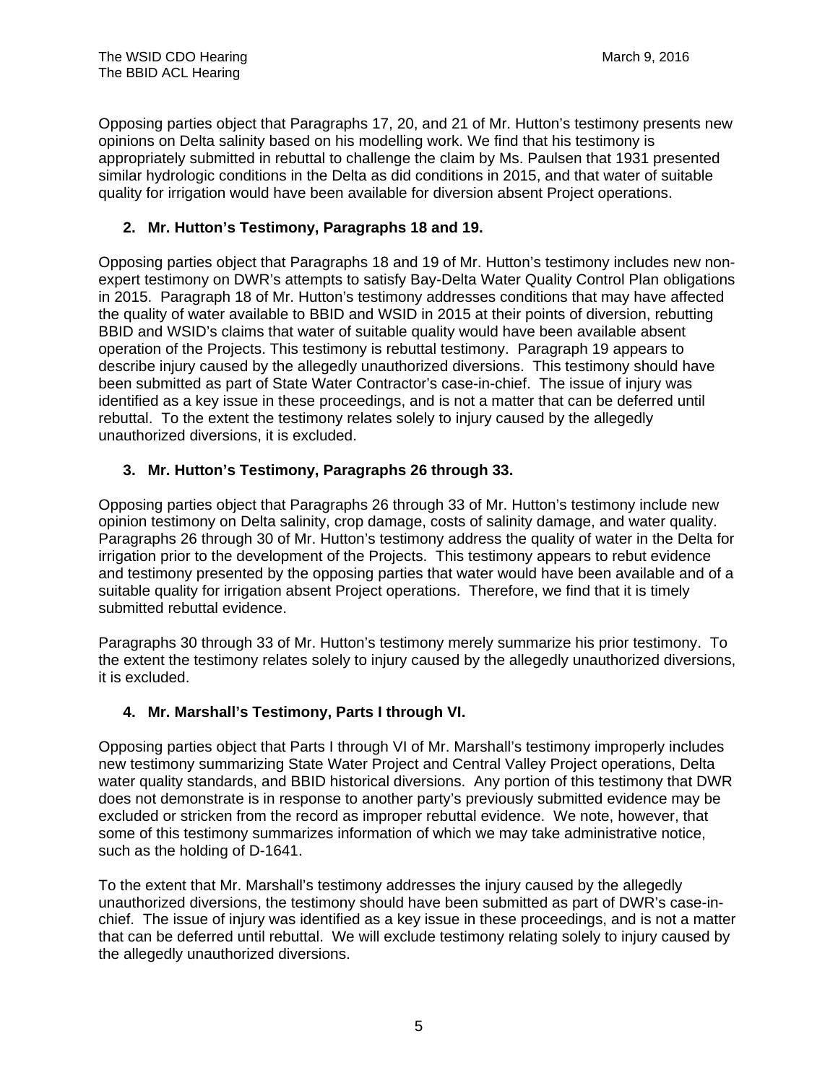Opposing parties object that Paragraphs 17, 20, and 21 of Mr. Hutton's testimony presents new opinions on Delta salinity based on his modelling work. We find that his testimony is appropriately submitted in rebuttal to challenge the claim by Ms. Paulsen that 1931 presented similar hydrologic conditions in the Delta as did conditions in 2015, and that water of suitable quality for irrigation would have been available for diversion absent Project operations.

# **2. Mr. Hutton's Testimony, Paragraphs 18 and 19.**

Opposing parties object that Paragraphs 18 and 19 of Mr. Hutton's testimony includes new nonexpert testimony on DWR's attempts to satisfy Bay-Delta Water Quality Control Plan obligations in 2015. Paragraph 18 of Mr. Hutton's testimony addresses conditions that may have affected the quality of water available to BBID and WSID in 2015 at their points of diversion, rebutting BBID and WSID's claims that water of suitable quality would have been available absent operation of the Projects. This testimony is rebuttal testimony. Paragraph 19 appears to describe injury caused by the allegedly unauthorized diversions. This testimony should have been submitted as part of State Water Contractor's case-in-chief. The issue of injury was identified as a key issue in these proceedings, and is not a matter that can be deferred until rebuttal. To the extent the testimony relates solely to injury caused by the allegedly unauthorized diversions, it is excluded.

# **3. Mr. Hutton's Testimony, Paragraphs 26 through 33.**

Opposing parties object that Paragraphs 26 through 33 of Mr. Hutton's testimony include new opinion testimony on Delta salinity, crop damage, costs of salinity damage, and water quality. Paragraphs 26 through 30 of Mr. Hutton's testimony address the quality of water in the Delta for irrigation prior to the development of the Projects. This testimony appears to rebut evidence and testimony presented by the opposing parties that water would have been available and of a suitable quality for irrigation absent Project operations. Therefore, we find that it is timely submitted rebuttal evidence.

Paragraphs 30 through 33 of Mr. Hutton's testimony merely summarize his prior testimony. To the extent the testimony relates solely to injury caused by the allegedly unauthorized diversions, it is excluded.

## **4. Mr. Marshall's Testimony, Parts I through VI.**

Opposing parties object that Parts I through VI of Mr. Marshall's testimony improperly includes new testimony summarizing State Water Project and Central Valley Project operations, Delta water quality standards, and BBID historical diversions. Any portion of this testimony that DWR does not demonstrate is in response to another party's previously submitted evidence may be excluded or stricken from the record as improper rebuttal evidence. We note, however, that some of this testimony summarizes information of which we may take administrative notice, such as the holding of D-1641.

To the extent that Mr. Marshall's testimony addresses the injury caused by the allegedly unauthorized diversions, the testimony should have been submitted as part of DWR's case-inchief. The issue of injury was identified as a key issue in these proceedings, and is not a matter that can be deferred until rebuttal. We will exclude testimony relating solely to injury caused by the allegedly unauthorized diversions.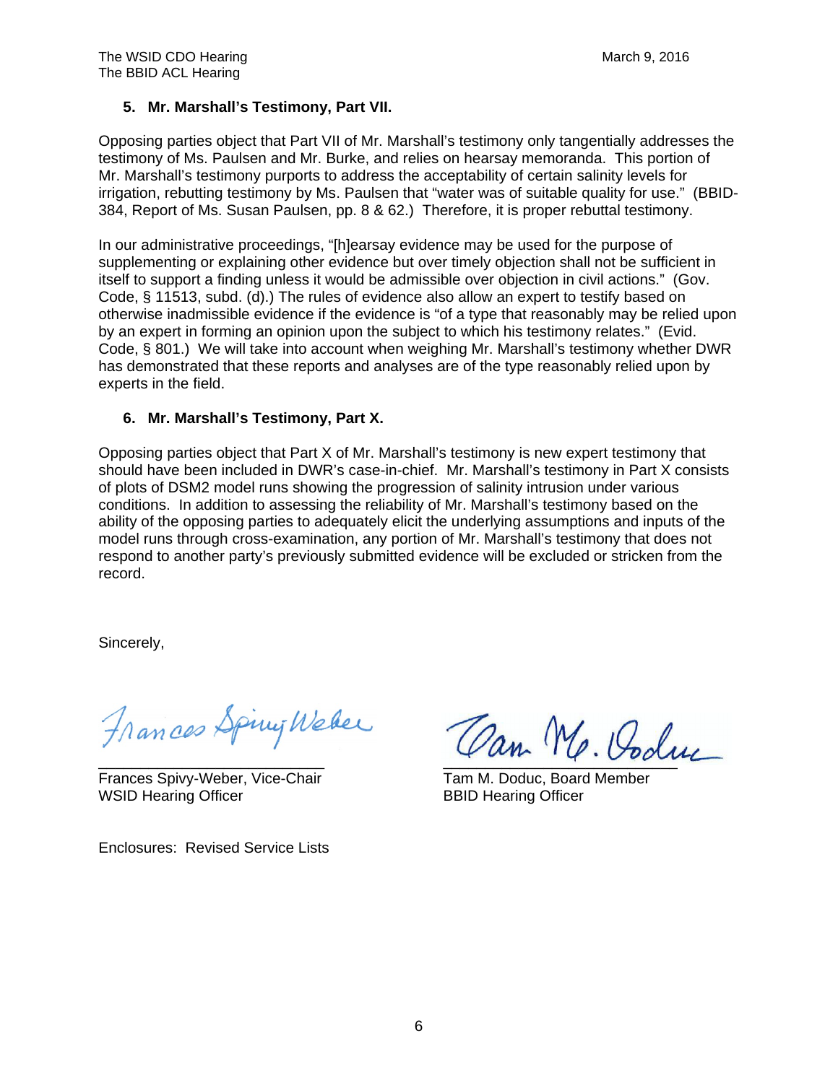## **5. Mr. Marshall's Testimony, Part VII.**

Opposing parties object that Part VII of Mr. Marshall's testimony only tangentially addresses the testimony of Ms. Paulsen and Mr. Burke, and relies on hearsay memoranda. This portion of Mr. Marshall's testimony purports to address the acceptability of certain salinity levels for irrigation, rebutting testimony by Ms. Paulsen that "water was of suitable quality for use." (BBID-384, Report of Ms. Susan Paulsen, pp. 8 & 62.) Therefore, it is proper rebuttal testimony.

In our administrative proceedings, "[h]earsay evidence may be used for the purpose of supplementing or explaining other evidence but over timely objection shall not be sufficient in itself to support a finding unless it would be admissible over objection in civil actions." (Gov. Code, § 11513, subd. (d).) The rules of evidence also allow an expert to testify based on otherwise inadmissible evidence if the evidence is "of a type that reasonably may be relied upon by an expert in forming an opinion upon the subject to which his testimony relates." (Evid. Code, § 801.) We will take into account when weighing Mr. Marshall's testimony whether DWR has demonstrated that these reports and analyses are of the type reasonably relied upon by experts in the field.

## **6. Mr. Marshall's Testimony, Part X.**

Opposing parties object that Part X of Mr. Marshall's testimony is new expert testimony that should have been included in DWR's case-in-chief. Mr. Marshall's testimony in Part X consists of plots of DSM2 model runs showing the progression of salinity intrusion under various conditions. In addition to assessing the reliability of Mr. Marshall's testimony based on the ability of the opposing parties to adequately elicit the underlying assumptions and inputs of the model runs through cross-examination, any portion of Mr. Marshall's testimony that does not respond to another party's previously submitted evidence will be excluded or stricken from the record.

Sincerely,

Frances Spiny Weber

Frances Spivy-Weber, Vice-Chair Tam M. Doduc, Board Member WSID Hearing Officer **BBID Hearing Officer** 

Enclosures: Revised Service Lists

Can Mr. Poduc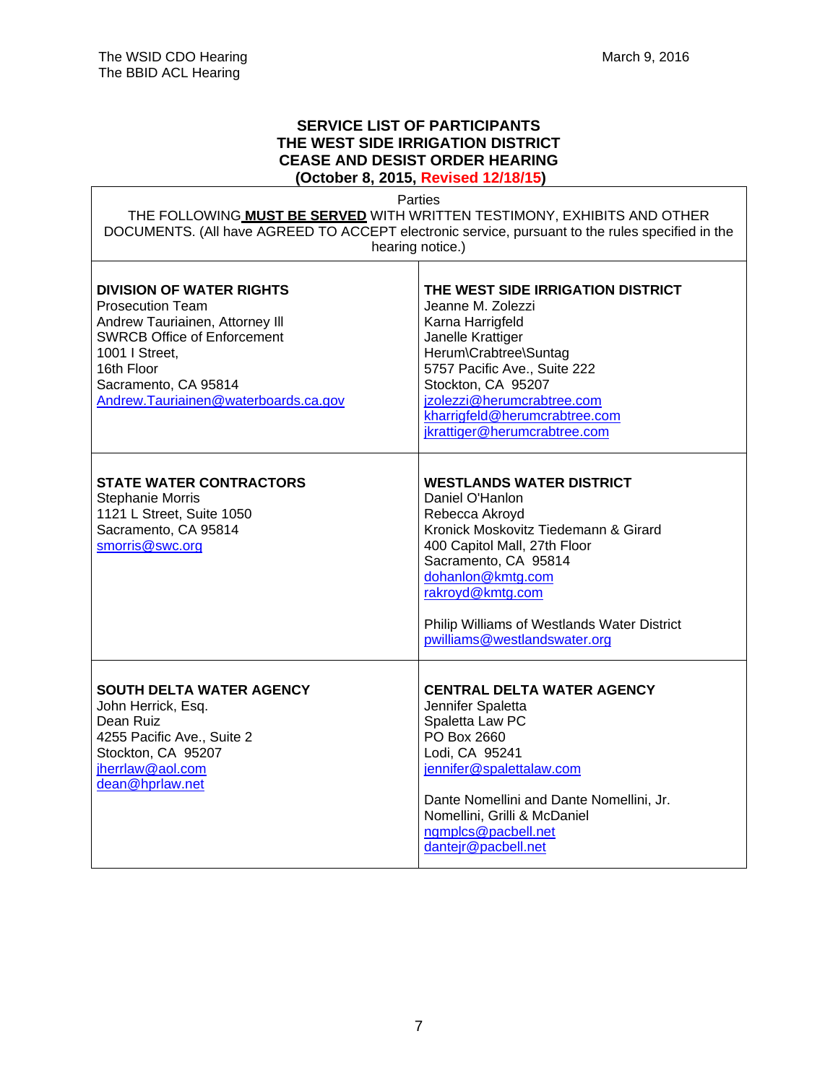## **SERVICE LIST OF PARTICIPANTS THE WEST SIDE IRRIGATION DISTRICT CEASE AND DESIST ORDER HEARING (October 8, 2015, Revised 12/18/15)**

Parties

THE FOLLOWING **MUST BE SERVED** WITH WRITTEN TESTIMONY, EXHIBITS AND OTHER DOCUMENTS. (All have AGREED TO ACCEPT electronic service, pursuant to the rules specified in the hearing notice.)

 $\top$ 

| <b>DIVISION OF WATER RIGHTS</b><br><b>Prosecution Team</b><br>Andrew Tauriainen, Attorney III<br><b>SWRCB Office of Enforcement</b><br>1001   Street,<br>16th Floor<br>Sacramento, CA 95814<br>Andrew.Tauriainen@waterboards.ca.gov | THE WEST SIDE IRRIGATION DISTRICT<br>Jeanne M. Zolezzi<br>Karna Harrigfeld<br>Janelle Krattiger<br>Herum\Crabtree\Suntag<br>5757 Pacific Ave., Suite 222<br>Stockton, CA 95207<br>jzolezzi@herumcrabtree.com<br>kharrigfeld@herumcrabtree.com<br>jkrattiger@herumcrabtree.com                |
|-------------------------------------------------------------------------------------------------------------------------------------------------------------------------------------------------------------------------------------|----------------------------------------------------------------------------------------------------------------------------------------------------------------------------------------------------------------------------------------------------------------------------------------------|
| <b>STATE WATER CONTRACTORS</b><br><b>Stephanie Morris</b><br>1121 L Street, Suite 1050<br>Sacramento, CA 95814<br>smorris@swc.org                                                                                                   | <b>WESTLANDS WATER DISTRICT</b><br>Daniel O'Hanlon<br>Rebecca Akroyd<br>Kronick Moskovitz Tiedemann & Girard<br>400 Capitol Mall, 27th Floor<br>Sacramento, CA 95814<br>dohanlon@kmtg.com<br>rakroyd@kmtg.com<br>Philip Williams of Westlands Water District<br>pwilliams@westlandswater.org |
| <b>SOUTH DELTA WATER AGENCY</b><br>John Herrick, Esq.<br>Dean Ruiz<br>4255 Pacific Ave., Suite 2<br>Stockton, CA 95207<br>jherrlaw@aol.com<br>dean@hprlaw.net                                                                       | <b>CENTRAL DELTA WATER AGENCY</b><br>Jennifer Spaletta<br>Spaletta Law PC<br>PO Box 2660<br>Lodi, CA 95241<br>jennifer@spalettalaw.com<br>Dante Nomellini and Dante Nomellini, Jr.<br>Nomellini, Grilli & McDaniel<br>ngmplcs@pacbell.net<br>dantejr@pacbell.net                             |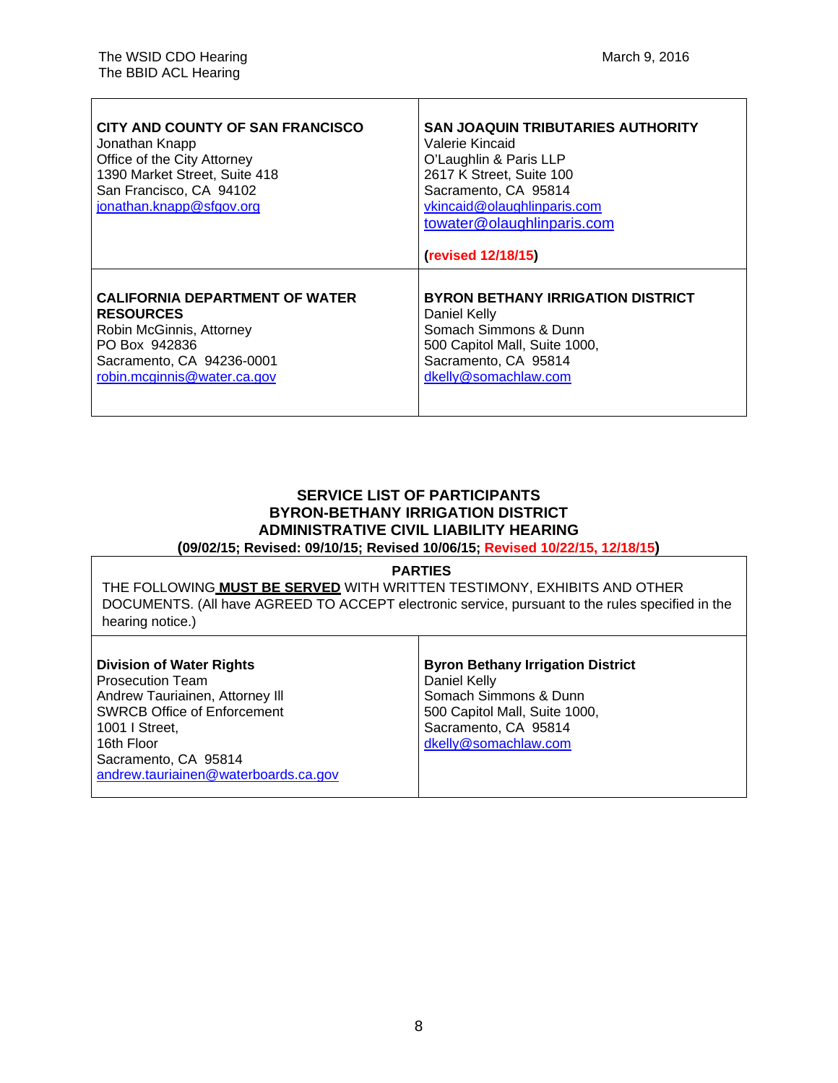| CITY AND COUNTY OF SAN FRANCISCO<br>Jonathan Knapp<br>Office of the City Attorney<br>1390 Market Street, Suite 418<br>San Francisco, CA 94102<br>jonathan.knapp@sfgov.org | <b>SAN JOAQUIN TRIBUTARIES AUTHORITY</b><br>Valerie Kincaid<br>O'Laughlin & Paris LLP<br>2617 K Street, Suite 100<br>Sacramento, CA 95814<br>vkincaid@olaughlinparis.com<br>towater@olaughlinparis.com<br>(revised 12/18/15) |
|---------------------------------------------------------------------------------------------------------------------------------------------------------------------------|------------------------------------------------------------------------------------------------------------------------------------------------------------------------------------------------------------------------------|
| <b>CALIFORNIA DEPARTMENT OF WATER</b>                                                                                                                                     | <b>BYRON BETHANY IRRIGATION DISTRICT</b>                                                                                                                                                                                     |
| <b>RESOURCES</b>                                                                                                                                                          | Daniel Kelly                                                                                                                                                                                                                 |
| Robin McGinnis, Attorney                                                                                                                                                  | Somach Simmons & Dunn                                                                                                                                                                                                        |
| PO Box 942836                                                                                                                                                             | 500 Capitol Mall, Suite 1000,                                                                                                                                                                                                |
| Sacramento, CA 94236-0001                                                                                                                                                 | Sacramento, CA 95814                                                                                                                                                                                                         |
| robin.mcginnis@water.ca.gov                                                                                                                                               | dkelly@somachlaw.com                                                                                                                                                                                                         |

# **SERVICE LIST OF PARTICIPANTS BYRON-BETHANY IRRIGATION DISTRICT ADMINISTRATIVE CIVIL LIABILITY HEARING**

**(09/02/15; Revised: 09/10/15; Revised 10/06/15; Revised 10/22/15, 12/18/15)** 

#### **PARTIES**

THE FOLLOWING **MUST BE SERVED** WITH WRITTEN TESTIMONY, EXHIBITS AND OTHER DOCUMENTS. (All have AGREED TO ACCEPT electronic service, pursuant to the rules specified in the hearing notice.)

Τ

| <b>Division of Water Rights</b>      | <b>Byron Bethany Irrigation District</b> |
|--------------------------------------|------------------------------------------|
| Prosecution Team                     | Daniel Kelly                             |
| Andrew Tauriainen, Attorney III      | Somach Simmons & Dunn                    |
| SWRCB Office of Enforcement          | 500 Capitol Mall, Suite 1000,            |
| 1001 I Street,                       | Sacramento, CA 95814                     |
| l 16th Floor                         | dkelly@somachlaw.com                     |
| Sacramento, CA 95814                 |                                          |
| andrew.tauriainen@waterboards.ca.gov |                                          |
|                                      |                                          |